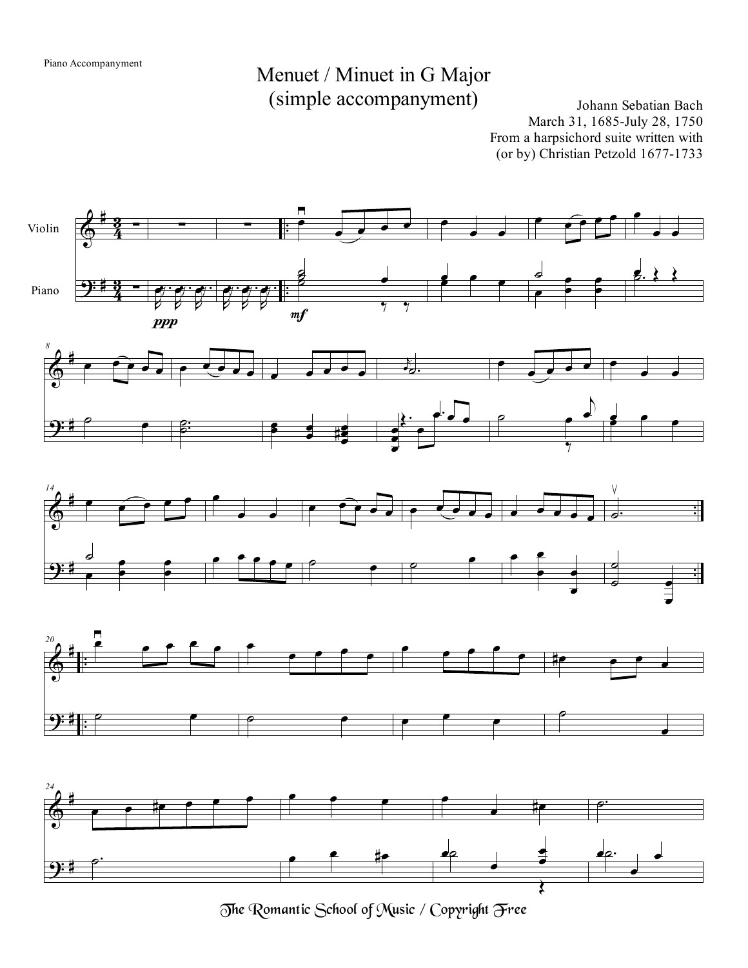## Menuet / Minuet in G Major (simple accompanyment) Johann Sebatian Bach

March 31, 1685-July 28, 1750 From a harpsichord suite written with (or by) Christian Petzold 1677-1733



The Romantic School of Music / Copyright Free